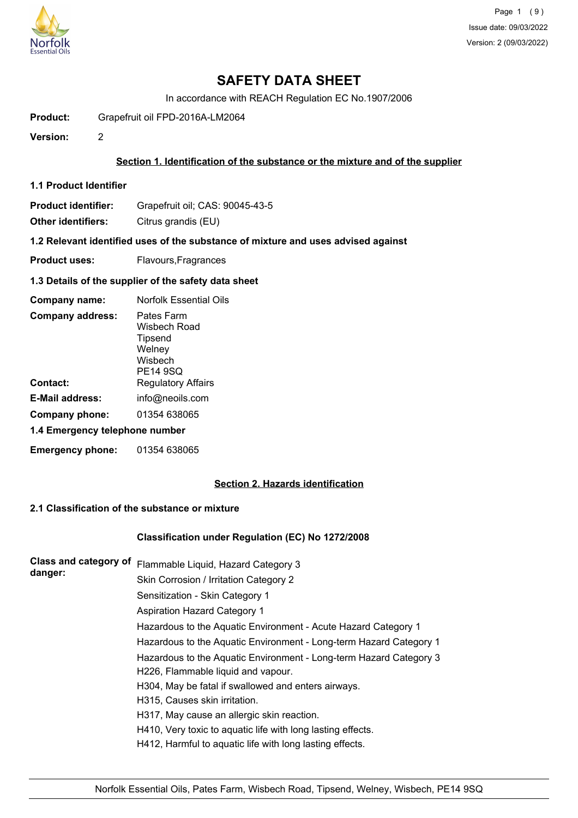

In accordance with REACH Regulation EC No.1907/2006

**Product:** Grapefruit oil FPD-2016A-LM2064

**Version:** 2

## **Section 1. Identification of the substance or the mixture and of the supplier**

**1.1 Product Identifier**

**Product identifier:** Grapefruit oil; CAS: 90045-43-5

**Other identifiers:** Citrus grandis (EU)

**1.2 Relevant identified uses of the substance of mixture and uses advised against**

**Product uses:** Flavours, Fragrances

#### **1.3 Details of the supplier of the safety data sheet**

| Company name:                  | Norfolk Essential Oils                                                        |
|--------------------------------|-------------------------------------------------------------------------------|
| <b>Company address:</b>        | Pates Farm<br>Wisbech Road<br>Tipsend<br>Welney<br>Wisbech<br><b>PE14 9SQ</b> |
| Contact:                       | <b>Regulatory Affairs</b>                                                     |
| <b>E-Mail address:</b>         | info@neoils.com                                                               |
| Company phone:                 | 01354 638065                                                                  |
| 1.4 Emergency telephone number |                                                                               |
| <b>Emergency phone:</b>        | 01354 638065                                                                  |

# **Section 2. Hazards identification**

# **2.1 Classification of the substance or mixture**

## **Classification under Regulation (EC) No 1272/2008**

| <b>Class and category of</b><br>danger: | Flammable Liquid, Hazard Category 3                                |
|-----------------------------------------|--------------------------------------------------------------------|
|                                         | Skin Corrosion / Irritation Category 2                             |
|                                         | Sensitization - Skin Category 1                                    |
|                                         | <b>Aspiration Hazard Category 1</b>                                |
|                                         | Hazardous to the Aquatic Environment - Acute Hazard Category 1     |
|                                         | Hazardous to the Aquatic Environment - Long-term Hazard Category 1 |
|                                         | Hazardous to the Aquatic Environment - Long-term Hazard Category 3 |
|                                         | H226, Flammable liquid and vapour.                                 |
|                                         | H304, May be fatal if swallowed and enters airways.                |
|                                         | H315, Causes skin irritation.                                      |
|                                         | H317, May cause an allergic skin reaction.                         |
|                                         | H410, Very toxic to aquatic life with long lasting effects.        |
|                                         | H412, Harmful to aquatic life with long lasting effects.           |
|                                         |                                                                    |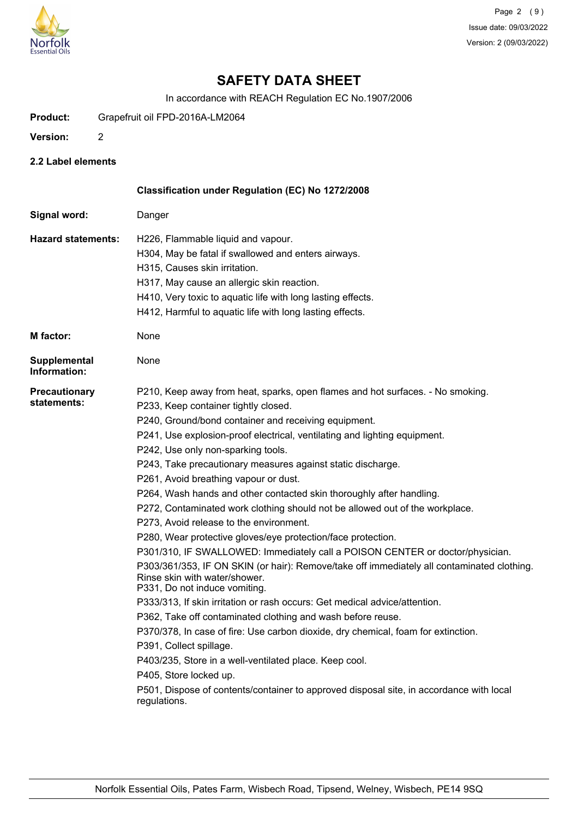

In accordance with REACH Regulation EC No.1907/2006

- **Product:** Grapefruit oil FPD-2016A-LM2064
- **Version:** 2
- **2.2 Label elements**

|                                     | Classification under Regulation (EC) No 1272/2008                                                                                                                                                                                                                                                                                                                                                                                                                                                                                                                                                                                                                                                                                                                                                                                                                                                                                                                                                                                                                                                                                                                                                                                                                                                                                                                                         |
|-------------------------------------|-------------------------------------------------------------------------------------------------------------------------------------------------------------------------------------------------------------------------------------------------------------------------------------------------------------------------------------------------------------------------------------------------------------------------------------------------------------------------------------------------------------------------------------------------------------------------------------------------------------------------------------------------------------------------------------------------------------------------------------------------------------------------------------------------------------------------------------------------------------------------------------------------------------------------------------------------------------------------------------------------------------------------------------------------------------------------------------------------------------------------------------------------------------------------------------------------------------------------------------------------------------------------------------------------------------------------------------------------------------------------------------------|
| Signal word:                        | Danger                                                                                                                                                                                                                                                                                                                                                                                                                                                                                                                                                                                                                                                                                                                                                                                                                                                                                                                                                                                                                                                                                                                                                                                                                                                                                                                                                                                    |
| <b>Hazard statements:</b>           | H226, Flammable liquid and vapour.<br>H304, May be fatal if swallowed and enters airways.<br>H315, Causes skin irritation.<br>H317, May cause an allergic skin reaction.<br>H410, Very toxic to aquatic life with long lasting effects.<br>H412, Harmful to aquatic life with long lasting effects.                                                                                                                                                                                                                                                                                                                                                                                                                                                                                                                                                                                                                                                                                                                                                                                                                                                                                                                                                                                                                                                                                       |
| M factor:                           | None                                                                                                                                                                                                                                                                                                                                                                                                                                                                                                                                                                                                                                                                                                                                                                                                                                                                                                                                                                                                                                                                                                                                                                                                                                                                                                                                                                                      |
| <b>Supplemental</b><br>Information: | None                                                                                                                                                                                                                                                                                                                                                                                                                                                                                                                                                                                                                                                                                                                                                                                                                                                                                                                                                                                                                                                                                                                                                                                                                                                                                                                                                                                      |
| <b>Precautionary</b><br>statements: | P210, Keep away from heat, sparks, open flames and hot surfaces. - No smoking.<br>P233, Keep container tightly closed.<br>P240, Ground/bond container and receiving equipment.<br>P241, Use explosion-proof electrical, ventilating and lighting equipment.<br>P242, Use only non-sparking tools.<br>P243, Take precautionary measures against static discharge.<br>P261, Avoid breathing vapour or dust.<br>P264, Wash hands and other contacted skin thoroughly after handling.<br>P272, Contaminated work clothing should not be allowed out of the workplace.<br>P273, Avoid release to the environment.<br>P280, Wear protective gloves/eye protection/face protection.<br>P301/310, IF SWALLOWED: Immediately call a POISON CENTER or doctor/physician.<br>P303/361/353, IF ON SKIN (or hair): Remove/take off immediately all contaminated clothing.<br>Rinse skin with water/shower.<br>P331, Do not induce vomiting.<br>P333/313, If skin irritation or rash occurs: Get medical advice/attention.<br>P362, Take off contaminated clothing and wash before reuse.<br>P370/378, In case of fire: Use carbon dioxide, dry chemical, foam for extinction.<br>P391, Collect spillage.<br>P403/235, Store in a well-ventilated place. Keep cool.<br>P405, Store locked up.<br>P501, Dispose of contents/container to approved disposal site, in accordance with local<br>regulations. |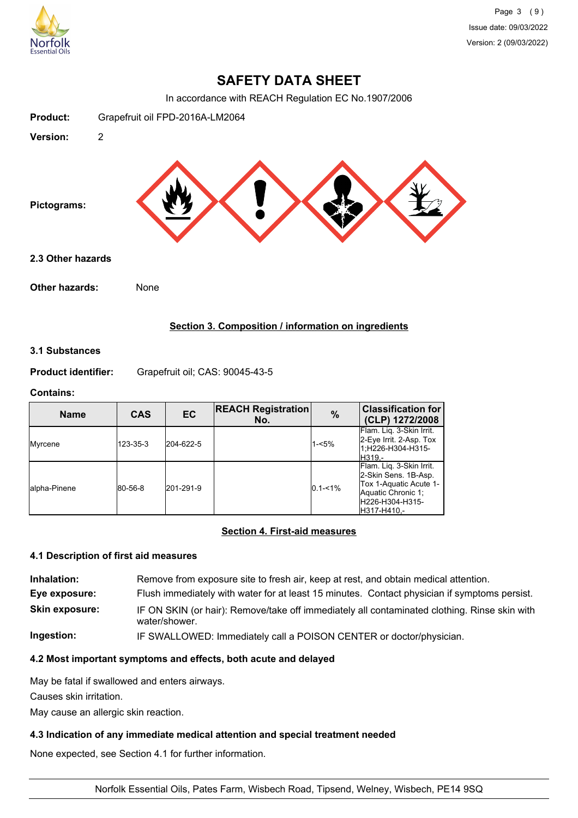

In accordance with REACH Regulation EC No.1907/2006



# **Section 3. Composition / information on ingredients**

### **3.1 Substances**

**Product identifier:** Grapefruit oil; CAS: 90045-43-5

## **Contains:**

| <b>Name</b>   | <b>CAS</b> | EC        | <b>REACH Registration</b><br>No. | $\%$        | <b>Classification for</b><br>(CLP) 1272/2008                                                                                       |
|---------------|------------|-----------|----------------------------------|-------------|------------------------------------------------------------------------------------------------------------------------------------|
| Myrcene       | 123-35-3   | 204-622-5 |                                  | $1 - 5%$    | Flam. Lig. 3-Skin Irrit.<br>2-Eye Irrit. 2-Asp. Tox<br>1:H226-H304-H315-<br>H319.-                                                 |
| lalpha-Pinene | 80-56-8    | 201-291-9 |                                  | $0.1 - 1\%$ | Flam. Lig. 3-Skin Irrit.<br>2-Skin Sens. 1B-Asp.<br>Tox 1-Aquatic Acute 1-<br>Aquatic Chronic 1:<br>H226-H304-H315-<br>H317-H410.- |

# **Section 4. First-aid measures**

## **4.1 Description of first aid measures**

| Inhalation:           | Remove from exposure site to fresh air, keep at rest, and obtain medical attention.                           |
|-----------------------|---------------------------------------------------------------------------------------------------------------|
| Eye exposure:         | Flush immediately with water for at least 15 minutes. Contact physician if symptoms persist.                  |
| <b>Skin exposure:</b> | IF ON SKIN (or hair): Remove/take off immediately all contaminated clothing. Rinse skin with<br>water/shower. |
| Ingestion:            | IF SWALLOWED: Immediately call a POISON CENTER or doctor/physician.                                           |

# **4.2 Most important symptoms and effects, both acute and delayed**

May be fatal if swallowed and enters airways.

Causes skin irritation.

May cause an allergic skin reaction.

# **4.3 Indication of any immediate medical attention and special treatment needed**

None expected, see Section 4.1 for further information.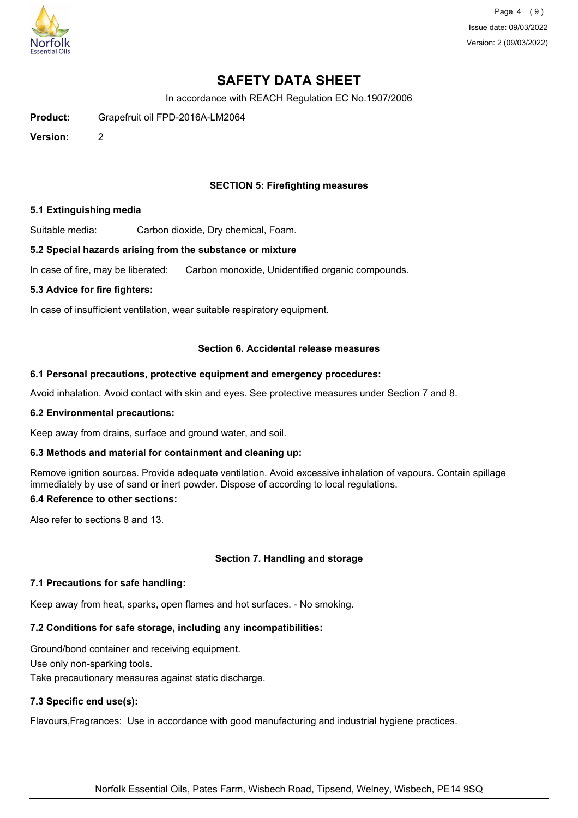

Page 4 (9) Issue date: 09/03/2022 Version: 2 (09/03/2022)

# **SAFETY DATA SHEET**

In accordance with REACH Regulation EC No.1907/2006

**Product:** Grapefruit oil FPD-2016A-LM2064

**Version:** 2

## **SECTION 5: Firefighting measures**

#### **5.1 Extinguishing media**

Suitable media: Carbon dioxide, Dry chemical, Foam.

#### **5.2 Special hazards arising from the substance or mixture**

In case of fire, may be liberated: Carbon monoxide, Unidentified organic compounds.

#### **5.3 Advice for fire fighters:**

In case of insufficient ventilation, wear suitable respiratory equipment.

#### **Section 6. Accidental release measures**

#### **6.1 Personal precautions, protective equipment and emergency procedures:**

Avoid inhalation. Avoid contact with skin and eyes. See protective measures under Section 7 and 8.

#### **6.2 Environmental precautions:**

Keep away from drains, surface and ground water, and soil.

## **6.3 Methods and material for containment and cleaning up:**

Remove ignition sources. Provide adequate ventilation. Avoid excessive inhalation of vapours. Contain spillage immediately by use of sand or inert powder. Dispose of according to local regulations.

## **6.4 Reference to other sections:**

Also refer to sections 8 and 13.

## **Section 7. Handling and storage**

## **7.1 Precautions for safe handling:**

Keep away from heat, sparks, open flames and hot surfaces. - No smoking.

## **7.2 Conditions for safe storage, including any incompatibilities:**

Ground/bond container and receiving equipment. Use only non-sparking tools. Take precautionary measures against static discharge.

## **7.3 Specific end use(s):**

Flavours,Fragrances: Use in accordance with good manufacturing and industrial hygiene practices.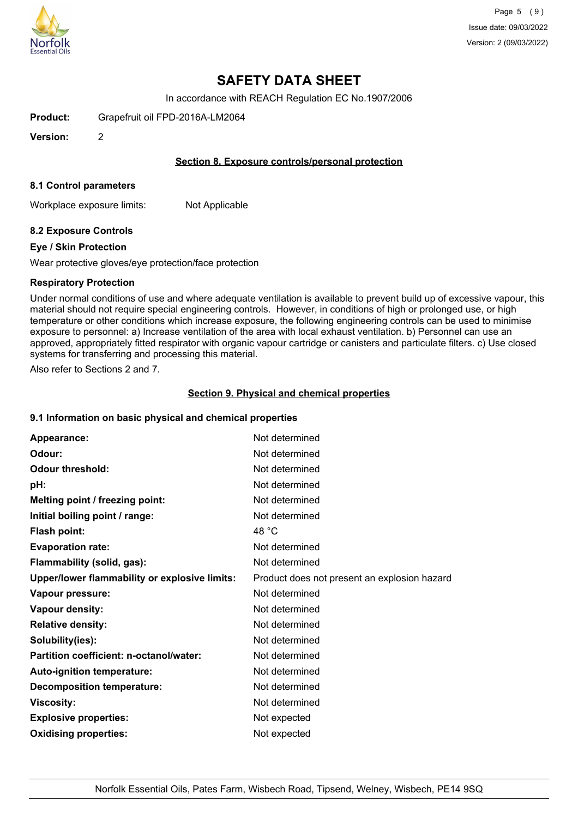

In accordance with REACH Regulation EC No.1907/2006

**Product:** Grapefruit oil FPD-2016A-LM2064

**Version:** 2

### **Section 8. Exposure controls/personal protection**

#### **8.1 Control parameters**

Workplace exposure limits: Not Applicable

## **8.2 Exposure Controls**

#### **Eye / Skin Protection**

Wear protective gloves/eye protection/face protection

#### **Respiratory Protection**

Under normal conditions of use and where adequate ventilation is available to prevent build up of excessive vapour, this material should not require special engineering controls. However, in conditions of high or prolonged use, or high temperature or other conditions which increase exposure, the following engineering controls can be used to minimise exposure to personnel: a) Increase ventilation of the area with local exhaust ventilation. b) Personnel can use an approved, appropriately fitted respirator with organic vapour cartridge or canisters and particulate filters. c) Use closed systems for transferring and processing this material.

Also refer to Sections 2 and 7.

#### **Section 9. Physical and chemical properties**

#### **9.1 Information on basic physical and chemical properties**

| Appearance:                                   | Not determined                               |
|-----------------------------------------------|----------------------------------------------|
| Odour:                                        | Not determined                               |
| <b>Odour threshold:</b>                       | Not determined                               |
| pH:                                           | Not determined                               |
| Melting point / freezing point:               | Not determined                               |
| Initial boiling point / range:                | Not determined                               |
| <b>Flash point:</b>                           | 48 °C                                        |
| <b>Evaporation rate:</b>                      | Not determined                               |
| Flammability (solid, gas):                    | Not determined                               |
| Upper/lower flammability or explosive limits: | Product does not present an explosion hazard |
| Vapour pressure:                              | Not determined                               |
| Vapour density:                               | Not determined                               |
| <b>Relative density:</b>                      | Not determined                               |
| Solubility(ies):                              | Not determined                               |
| Partition coefficient: n-octanol/water:       | Not determined                               |
| Auto-ignition temperature:                    | Not determined                               |
| <b>Decomposition temperature:</b>             | Not determined                               |
| <b>Viscosity:</b>                             | Not determined                               |
| <b>Explosive properties:</b>                  | Not expected                                 |
| <b>Oxidising properties:</b>                  | Not expected                                 |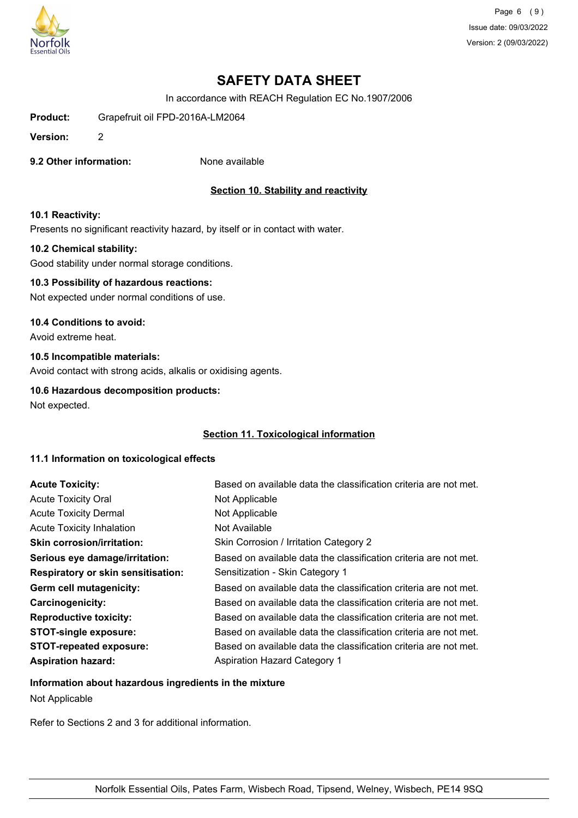

Page 6 (9) Issue date: 09/03/2022 Version: 2 (09/03/2022)

# **SAFETY DATA SHEET**

In accordance with REACH Regulation EC No.1907/2006

**Product:** Grapefruit oil FPD-2016A-LM2064

**Version:** 2

**9.2 Other information:** None available

## **Section 10. Stability and reactivity**

#### **10.1 Reactivity:**

Presents no significant reactivity hazard, by itself or in contact with water.

#### **10.2 Chemical stability:**

Good stability under normal storage conditions.

# **10.3 Possibility of hazardous reactions:**

Not expected under normal conditions of use.

#### **10.4 Conditions to avoid:**

Avoid extreme heat.

#### **10.5 Incompatible materials:**

Avoid contact with strong acids, alkalis or oxidising agents.

## **10.6 Hazardous decomposition products:**

Not expected.

#### **Section 11. Toxicological information**

#### **11.1 Information on toxicological effects**

| <b>Acute Toxicity:</b>                    | Based on available data the classification criteria are not met. |
|-------------------------------------------|------------------------------------------------------------------|
| <b>Acute Toxicity Oral</b>                | Not Applicable                                                   |
| <b>Acute Toxicity Dermal</b>              | Not Applicable                                                   |
| <b>Acute Toxicity Inhalation</b>          | Not Available                                                    |
| <b>Skin corrosion/irritation:</b>         | Skin Corrosion / Irritation Category 2                           |
| Serious eye damage/irritation:            | Based on available data the classification criteria are not met. |
| <b>Respiratory or skin sensitisation:</b> | Sensitization - Skin Category 1                                  |
| Germ cell mutagenicity:                   | Based on available data the classification criteria are not met. |
| <b>Carcinogenicity:</b>                   | Based on available data the classification criteria are not met. |
| <b>Reproductive toxicity:</b>             | Based on available data the classification criteria are not met. |
| <b>STOT-single exposure:</b>              | Based on available data the classification criteria are not met. |
| <b>STOT-repeated exposure:</b>            | Based on available data the classification criteria are not met. |
| <b>Aspiration hazard:</b>                 | Aspiration Hazard Category 1                                     |

## **Information about hazardous ingredients in the mixture**

Not Applicable

Refer to Sections 2 and 3 for additional information.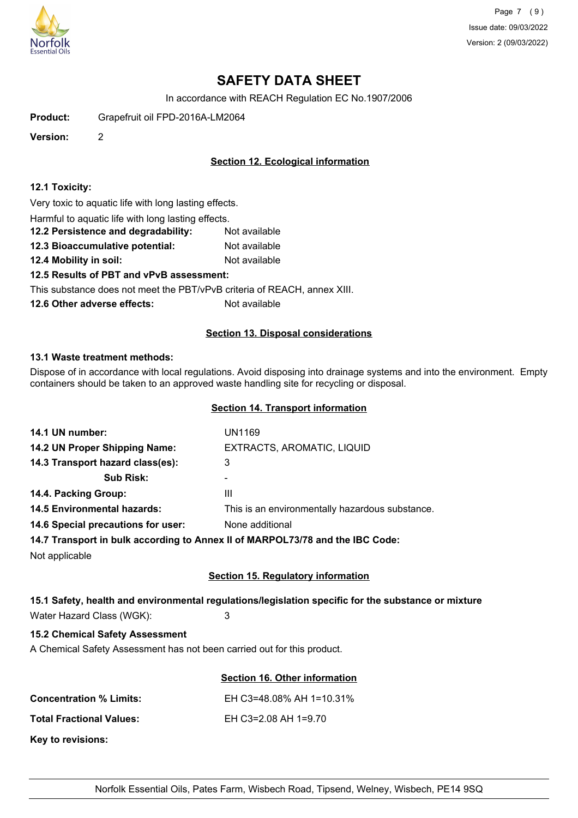

Page 7 (9) Issue date: 09/03/2022 Version: 2 (09/03/2022)

# **SAFETY DATA SHEET**

In accordance with REACH Regulation EC No.1907/2006

**Product:** Grapefruit oil FPD-2016A-LM2064

**Version:** 2

# **Section 12. Ecological information**

### **12.1 Toxicity:**

Very toxic to aquatic life with long lasting effects.

Harmful to aquatic life with long lasting effects.

**12.2 Persistence and degradability:** Not available

**12.3 Bioaccumulative potential:** Not available

**12.4 Mobility in soil:** Not available

## **12.5 Results of PBT and vPvB assessment:**

This substance does not meet the PBT/vPvB criteria of REACH, annex XIII.

**12.6 Other adverse effects:** Not available

#### **Section 13. Disposal considerations**

#### **13.1 Waste treatment methods:**

Dispose of in accordance with local regulations. Avoid disposing into drainage systems and into the environment. Empty containers should be taken to an approved waste handling site for recycling or disposal.

### **Section 14. Transport information**

| 14.1 UN number:                    | <b>UN1169</b>                                                                                       |
|------------------------------------|-----------------------------------------------------------------------------------------------------|
| 14.2 UN Proper Shipping Name:      | EXTRACTS, AROMATIC, LIQUID                                                                          |
| 14.3 Transport hazard class(es):   | 3                                                                                                   |
| <b>Sub Risk:</b>                   | $\blacksquare$                                                                                      |
| 14.4. Packing Group:               | Ш                                                                                                   |
| <b>14.5 Environmental hazards:</b> | This is an environmentally hazardous substance.                                                     |
| 14.6 Special precautions for user: | None additional                                                                                     |
|                                    | 14.7 Transport in bulk according to Annex II of MARPOL73/78 and the IBC Code:                       |
| Not applicable                     |                                                                                                     |
|                                    | <b>Section 15. Regulatory information</b>                                                           |
|                                    | 15.1 Safety, health and environmental regulations/legislation specific for the substance or mixture |

Water Hazard Class (WGK): 3

# **15.2 Chemical Safety Assessment**

A Chemical Safety Assessment has not been carried out for this product.

| Section 16. Other information |
|-------------------------------|
|                               |
| EH C3=48.08% AH 1=10.31%      |

**Total Fractional Values:** EH C3=2.08 AH 1=9.70

| <b>Total Fractional Values:</b> |  |
|---------------------------------|--|
|---------------------------------|--|

**Key to revisions:**

**Concentration % Limits:**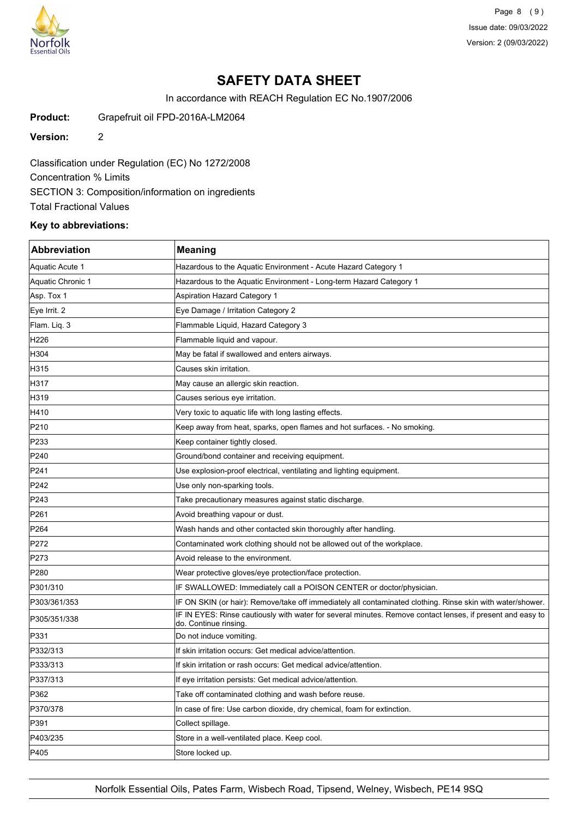

Page 8 (9) Issue date: 09/03/2022 Version: 2 (09/03/2022)

# **SAFETY DATA SHEET**

In accordance with REACH Regulation EC No.1907/2006

**Product:** Grapefruit oil FPD-2016A-LM2064

**Version:** 2

Classification under Regulation (EC) No 1272/2008 Concentration % Limits SECTION 3: Composition/information on ingredients Total Fractional Values

## **Key to abbreviations:**

| <b>Abbreviation</b> | <b>Meaning</b>                                                                                                                     |
|---------------------|------------------------------------------------------------------------------------------------------------------------------------|
| Aquatic Acute 1     | Hazardous to the Aquatic Environment - Acute Hazard Category 1                                                                     |
| Aquatic Chronic 1   | Hazardous to the Aquatic Environment - Long-term Hazard Category 1                                                                 |
| Asp. Tox 1          | <b>Aspiration Hazard Category 1</b>                                                                                                |
| Eye Irrit. 2        | Eye Damage / Irritation Category 2                                                                                                 |
| Flam. Liq. 3        | Flammable Liquid, Hazard Category 3                                                                                                |
| H226                | Flammable liquid and vapour.                                                                                                       |
| H304                | May be fatal if swallowed and enters airways.                                                                                      |
| H315                | Causes skin irritation.                                                                                                            |
| H317                | May cause an allergic skin reaction.                                                                                               |
| H319                | Causes serious eye irritation.                                                                                                     |
| H410                | Very toxic to aquatic life with long lasting effects.                                                                              |
| P210                | Keep away from heat, sparks, open flames and hot surfaces. - No smoking.                                                           |
| P233                | Keep container tightly closed.                                                                                                     |
| P240                | Ground/bond container and receiving equipment.                                                                                     |
| P241                | Use explosion-proof electrical, ventilating and lighting equipment.                                                                |
| P242                | Use only non-sparking tools.                                                                                                       |
| P243                | Take precautionary measures against static discharge.                                                                              |
| P261                | Avoid breathing vapour or dust.                                                                                                    |
| P <sub>264</sub>    | Wash hands and other contacted skin thoroughly after handling.                                                                     |
| P272                | Contaminated work clothing should not be allowed out of the workplace.                                                             |
| P273                | Avoid release to the environment.                                                                                                  |
| P280                | Wear protective gloves/eye protection/face protection.                                                                             |
| P301/310            | IF SWALLOWED: Immediately call a POISON CENTER or doctor/physician.                                                                |
| P303/361/353        | IF ON SKIN (or hair): Remove/take off immediately all contaminated clothing. Rinse skin with water/shower.                         |
| P305/351/338        | IF IN EYES: Rinse cautiously with water for several minutes. Remove contact lenses, if present and easy to<br>do. Continue rinsing |
| P331                | Do not induce vomiting.                                                                                                            |
| P332/313            | If skin irritation occurs: Get medical advice/attention.                                                                           |
| P333/313            | If skin irritation or rash occurs: Get medical advice/attention.                                                                   |
| P337/313            | If eye irritation persists: Get medical advice/attention.                                                                          |
| P362                | Take off contaminated clothing and wash before reuse.                                                                              |
| P370/378            | In case of fire: Use carbon dioxide, dry chemical, foam for extinction.                                                            |
| P391                | Collect spillage.                                                                                                                  |
| P403/235            | Store in a well-ventilated place. Keep cool.                                                                                       |
| P405                | Store locked up.                                                                                                                   |